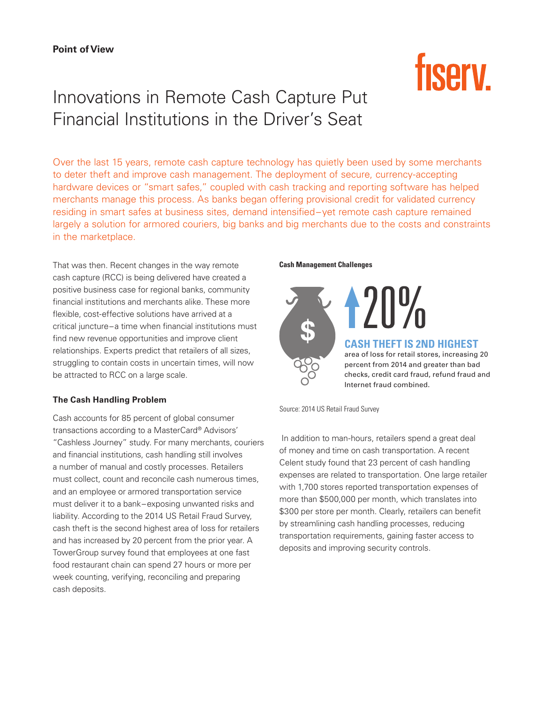# Innovations in Remote Cash Capture Put Financial Institutions in the Driver's Seat

Over the last 15 years, remote cash capture technology has quietly been used by some merchants to deter theft and improve cash management. The deployment of secure, currency-accepting hardware devices or "smart safes," coupled with cash tracking and reporting software has helped merchants manage this process. As banks began offering provisional credit for validated currency residing in smart safes at business sites, demand intensified–yet remote cash capture remained largely a solution for armored couriers, big banks and big merchants due to the costs and constraints in the marketplace.

That was then. Recent changes in the way remote cash capture (RCC) is being delivered have created a positive business case for regional banks, community financial institutions and merchants alike. These more flexible, cost-effective solutions have arrived at a critical juncture–a time when financial institutions must find new revenue opportunities and improve client relationships. Experts predict that retailers of all sizes, struggling to contain costs in uncertain times, will now be attracted to RCC on a large scale.

## **The Cash Handling Problem**

Cash accounts for 85 percent of global consumer transactions according to a MasterCard® Advisors' "Cashless Journey" study. For many merchants, couriers and financial institutions, cash handling still involves a number of manual and costly processes. Retailers must collect, count and reconcile cash numerous times, and an employee or armored transportation service must deliver it to a bank–exposing unwanted risks and liability. According to the 2014 US Retail Fraud Survey, cash theft is the second highest area of loss for retailers and has increased by 20 percent from the prior year. A TowerGroup survey found that employees at one fast food restaurant chain can spend 27 hours or more per week counting, verifying, reconciling and preparing cash deposits.

#### **Cash Management Challenges**

\$

Source: 2014 US Retail Fraud Survey

 In addition to man-hours, retailers spend a great deal of money and time on cash transportation. A recent Celent study found that 23 percent of cash handling expenses are related to transportation. One large retailer with 1,700 stores reported transportation expenses of more than \$500,000 per month, which translates into \$300 per store per month. Clearly, retailers can benefit by streamlining cash handling processes, reducing transportation requirements, gaining faster access to deposits and improving security controls.

Internet fraud combined.

20<sup>%</sup>

**CASH THEFT IS 2ND HIGHEST** area of loss for retail stores, increasing 20 percent from 2014 and greater than bad checks, credit card fraud, refund fraud and

**fisery**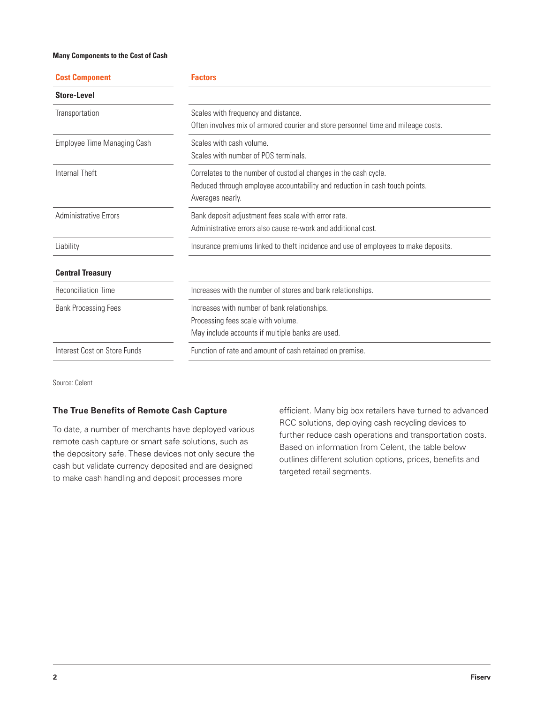#### **Many Components to the Cost of Cash**

| <b>Cost Component</b>        | <b>Factors</b>                                                                                                                                                      |  |
|------------------------------|---------------------------------------------------------------------------------------------------------------------------------------------------------------------|--|
| <b>Store-Level</b>           |                                                                                                                                                                     |  |
| Transportation               | Scales with frequency and distance.<br>Often involves mix of armored courier and store personnel time and mileage costs.                                            |  |
| Employee Time Managing Cash  | Scales with cash volume.<br>Scales with number of POS terminals.                                                                                                    |  |
| Internal Theft               | Correlates to the number of custodial changes in the cash cycle.<br>Reduced through employee accountability and reduction in cash touch points.<br>Averages nearly. |  |
| <b>Administrative Errors</b> | Bank deposit adjustment fees scale with error rate.<br>Administrative errors also cause re-work and additional cost                                                 |  |
| Liability                    | Insurance premiums linked to theft incidence and use of employees to make deposits.                                                                                 |  |
| <b>Central Treasury</b>      |                                                                                                                                                                     |  |
| <b>Reconciliation Time</b>   | Increases with the number of stores and bank relationships.                                                                                                         |  |
| <b>Bank Processing Fees</b>  | Increases with number of bank relationships.<br>Processing fees scale with volume.<br>May include accounts if multiple banks are used.                              |  |
| Interest Cost on Store Funds | Function of rate and amount of cash retained on premise.                                                                                                            |  |

Source: Celent

#### **The True Benefits of Remote Cash Capture**

To date, a number of merchants have deployed various remote cash capture or smart safe solutions, such as the depository safe. These devices not only secure the cash but validate currency deposited and are designed to make cash handling and deposit processes more

efficient. Many big box retailers have turned to advanced RCC solutions, deploying cash recycling devices to further reduce cash operations and transportation costs. Based on information from Celent, the table below outlines different solution options, prices, benefits and targeted retail segments.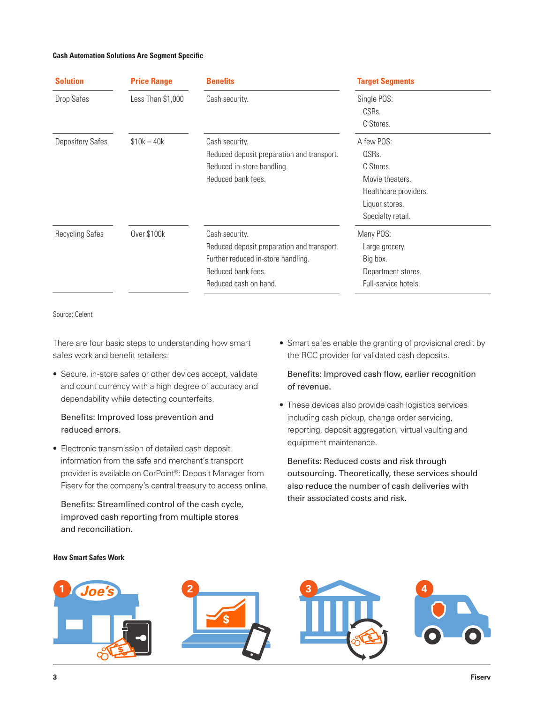#### **Cash Automation Solutions Are Segment Specific**

| <b>Solution</b>         | <b>Price Range</b> | <b>Benefits</b>                            | <b>Target Segments</b>            |
|-------------------------|--------------------|--------------------------------------------|-----------------------------------|
| Drop Safes              | Less Than \$1,000  | Cash security.                             | Single POS:<br>CSRs.<br>C Stores. |
| <b>Depository Safes</b> | $$10k - 40k$       | Cash security.                             | A few POS:                        |
|                         |                    | Reduced deposit preparation and transport. | QSRs.                             |
|                         |                    | Reduced in-store handling.                 | C Stores.                         |
|                         |                    | Reduced bank fees.                         | Movie theaters.                   |
|                         |                    |                                            | Healthcare providers.             |
|                         |                    |                                            | Liquor stores.                    |
|                         |                    |                                            | Specialty retail.                 |
| <b>Recycling Safes</b>  | Over \$100k        | Cash security.                             | Many POS:                         |
|                         |                    | Reduced deposit preparation and transport. | Large grocery.                    |
|                         |                    | Further reduced in-store handling.         | Big box.                          |
|                         |                    | Reduced bank fees.                         | Department stores.                |
|                         |                    | Reduced cash on hand.                      | Full-service hotels.              |

Source: Celent

There are four basic steps to understanding how smart safes work and benefit retailers:

• Secure, in-store safes or other devices accept, validate and count currency with a high degree of accuracy and dependability while detecting counterfeits.

# Benefits: Improved loss prevention and reduced errors.

• Electronic transmission of detailed cash deposit information from the safe and merchant's transport provider is available on CorPoint®: Deposit Manager from Fiserv for the company's central treasury to access online.

Benefits: Streamlined control of the cash cycle, improved cash reporting from multiple stores and reconciliation.

• Smart safes enable the granting of provisional credit by the RCC provider for validated cash deposits.

Benefits: Improved cash flow, earlier recognition of revenue.

• These devices also provide cash logistics services including cash pickup, change order servicing, reporting, deposit aggregation, virtual vaulting and equipment maintenance.

Benefits: Reduced costs and risk through outsourcing. Theoretically, these services should also reduce the number of cash deliveries with their associated costs and risk.



**How Smart Safes Work**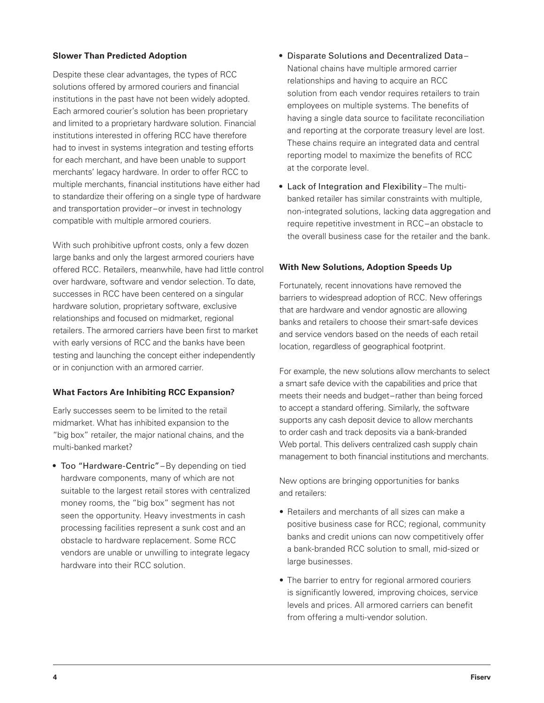#### **Slower Than Predicted Adoption**

Despite these clear advantages, the types of RCC solutions offered by armored couriers and financial institutions in the past have not been widely adopted. Each armored courier's solution has been proprietary and limited to a proprietary hardware solution. Financial institutions interested in offering RCC have therefore had to invest in systems integration and testing efforts for each merchant, and have been unable to support merchants' legacy hardware. In order to offer RCC to multiple merchants, financial institutions have either had to standardize their offering on a single type of hardware and transportation provider–or invest in technology compatible with multiple armored couriers.

With such prohibitive upfront costs, only a few dozen large banks and only the largest armored couriers have offered RCC. Retailers, meanwhile, have had little control over hardware, software and vendor selection. To date, successes in RCC have been centered on a singular hardware solution, proprietary software, exclusive relationships and focused on midmarket, regional retailers. The armored carriers have been first to market with early versions of RCC and the banks have been testing and launching the concept either independently or in conjunction with an armored carrier.

## **What Factors Are Inhibiting RCC Expansion?**

Early successes seem to be limited to the retail midmarket. What has inhibited expansion to the "big box" retailer, the major national chains, and the multi-banked market?

• Too "Hardware-Centric"–By depending on tied hardware components, many of which are not suitable to the largest retail stores with centralized money rooms, the "big box" segment has not seen the opportunity. Heavy investments in cash processing facilities represent a sunk cost and an obstacle to hardware replacement. Some RCC vendors are unable or unwilling to integrate legacy hardware into their RCC solution.

- Disparate Solutions and Decentralized Data– National chains have multiple armored carrier relationships and having to acquire an RCC solution from each vendor requires retailers to train employees on multiple systems. The benefits of having a single data source to facilitate reconciliation and reporting at the corporate treasury level are lost. These chains require an integrated data and central reporting model to maximize the benefits of RCC at the corporate level.
- Lack of Integration and Flexibility–The multibanked retailer has similar constraints with multiple, non-integrated solutions, lacking data aggregation and require repetitive investment in RCC–an obstacle to the overall business case for the retailer and the bank.

#### **With New Solutions, Adoption Speeds Up**

Fortunately, recent innovations have removed the barriers to widespread adoption of RCC. New offerings that are hardware and vendor agnostic are allowing banks and retailers to choose their smart-safe devices and service vendors based on the needs of each retail location, regardless of geographical footprint.

For example, the new solutions allow merchants to select a smart safe device with the capabilities and price that meets their needs and budget–rather than being forced to accept a standard offering. Similarly, the software supports any cash deposit device to allow merchants to order cash and track deposits via a bank-branded Web portal. This delivers centralized cash supply chain management to both financial institutions and merchants.

New options are bringing opportunities for banks and retailers:

- Retailers and merchants of all sizes can make a positive business case for RCC; regional, community banks and credit unions can now competitively offer a bank-branded RCC solution to small, mid-sized or large businesses.
- The barrier to entry for regional armored couriers is significantly lowered, improving choices, service levels and prices. All armored carriers can benefit from offering a multi-vendor solution.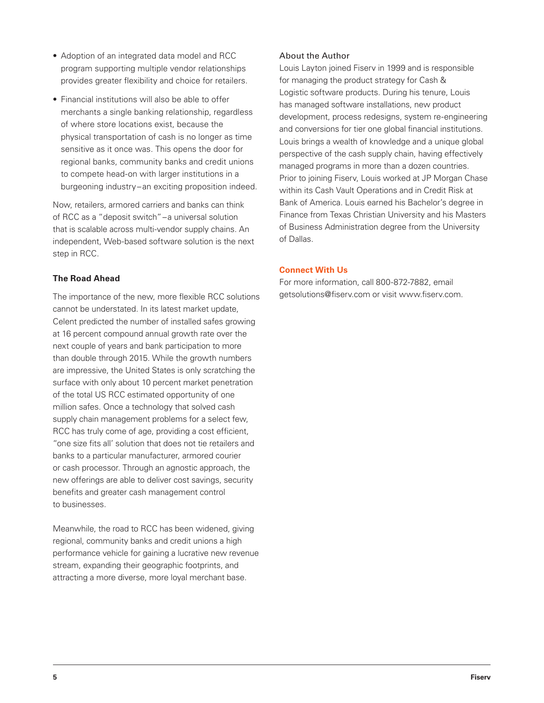- Adoption of an integrated data model and RCC program supporting multiple vendor relationships provides greater flexibility and choice for retailers.
- Financial institutions will also be able to offer merchants a single banking relationship, regardless of where store locations exist, because the physical transportation of cash is no longer as time sensitive as it once was. This opens the door for regional banks, community banks and credit unions to compete head-on with larger institutions in a burgeoning industry–an exciting proposition indeed.

Now, retailers, armored carriers and banks can think of RCC as a "deposit switch"–a universal solution that is scalable across multi-vendor supply chains. An independent, Web-based software solution is the next step in RCC.

#### **The Road Ahead**

The importance of the new, more flexible RCC solutions cannot be understated. In its latest market update, Celent predicted the number of installed safes growing at 16 percent compound annual growth rate over the next couple of years and bank participation to more than double through 2015. While the growth numbers are impressive, the United States is only scratching the surface with only about 10 percent market penetration of the total US RCC estimated opportunity of one million safes. Once a technology that solved cash supply chain management problems for a select few, RCC has truly come of age, providing a cost efficient, "one size fits all' solution that does not tie retailers and banks to a particular manufacturer, armored courier or cash processor. Through an agnostic approach, the new offerings are able to deliver cost savings, security benefits and greater cash management control to businesses.

Meanwhile, the road to RCC has been widened, giving regional, community banks and credit unions a high performance vehicle for gaining a lucrative new revenue stream, expanding their geographic footprints, and attracting a more diverse, more loyal merchant base.

#### About the Author

Louis Layton joined Fiserv in 1999 and is responsible for managing the product strategy for Cash & Logistic software products. During his tenure, Louis has managed software installations, new product development, process redesigns, system re-engineering and conversions for tier one global financial institutions. Louis brings a wealth of knowledge and a unique global perspective of the cash supply chain, having effectively managed programs in more than a dozen countries. Prior to joining Fiserv, Louis worked at JP Morgan Chase within its Cash Vault Operations and in Credit Risk at Bank of America. Louis earned his Bachelor's degree in Finance from Texas Christian University and his Masters of Business Administration degree from the University of Dallas.

#### **Connect With Us**

For more information, call 800-872-7882, email getsolutions@fiserv.com or visit www.fiserv.com.